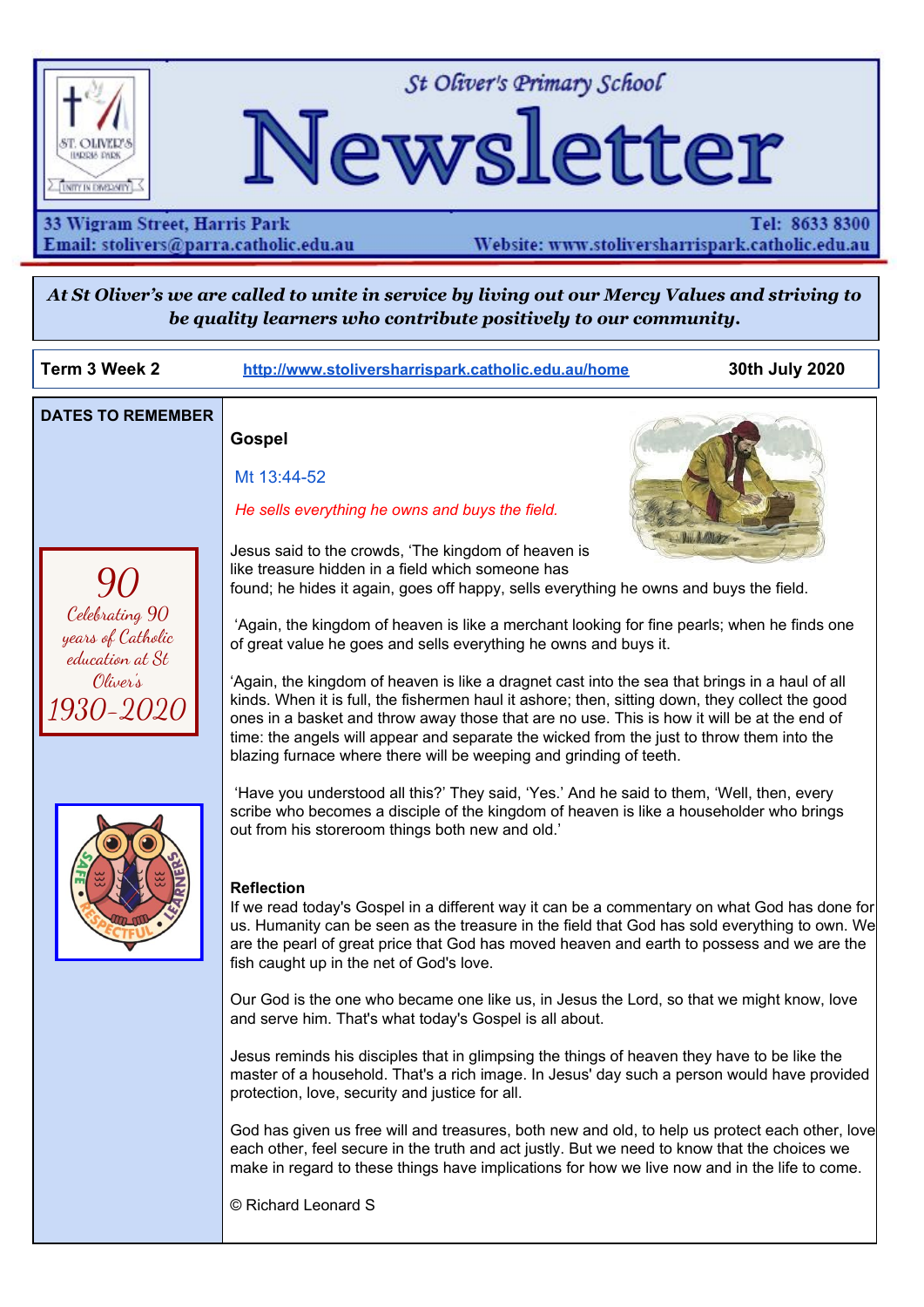

St Oliver's Primary School

# Newsletter

33 Wigram Street, Harris Park Email: stolivers@parra.catholic.edu.au

Tel: 8633 8300 Website: www.stoliversharrispark.catholic.edu.au

At St Oliver's we are called to unite in service by living out our Mercy Values and striving to be quality learners who contribute positively to our community.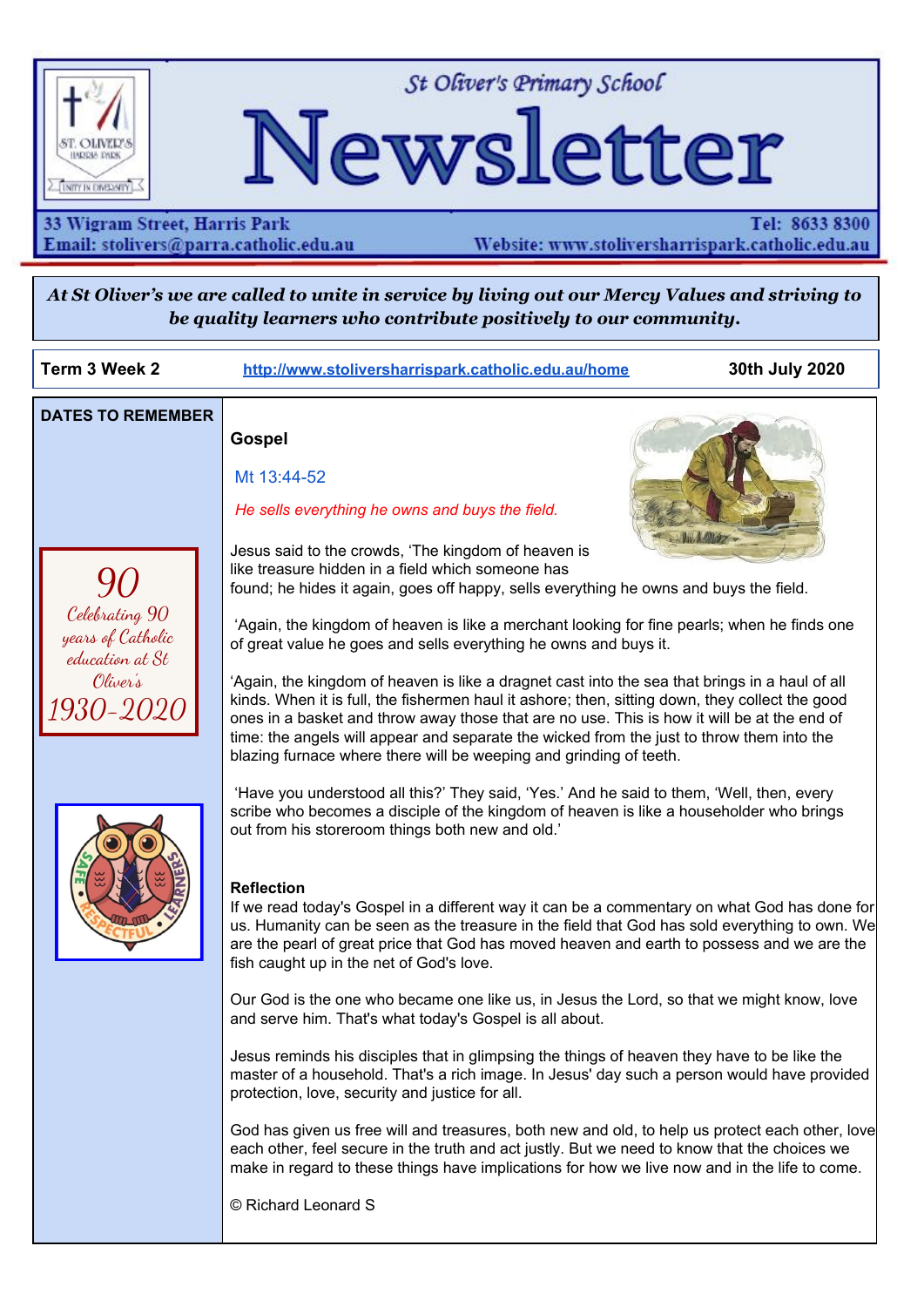### **Sacrament of the First Eucharist**

At St Oliver's we currently have candidates preparing to receive Jesus for their first reception of the Eucharist. Due to COVID 19 these candidates and their families have had to wait patiently.

The Sacrament is now scheduled to take place on Sunday, 16th August at 11:30am. Due to restrictions to ensure social distancing, this mass will be celebrated with limited numbers.

As a community let's pray for these students preparing to receive Christ as they approach the altar.

**PRAYER FOR SPIRITUAL COMMUNION** My Jesus, I believe that You are present in the Most Holy Sacrament. I love You above all things, and I desire to receive You into my soul. Since I cannot at this moment receive You sacramentally, come at least spiritually into my heart. I embrace You as if You were already there and unite myself wholly to You. Never permit me to be separated from You. Amen.

#### **Student prayer**

Dear God, thank you for my family, my classmates and my teacher. Sadly, we had a rough start to the year with Covid19, but as the year goes on we still stay strong. I'm still not sure about the situation in America, but I hope no one else gets hurt because everyone should be treated fairly so that they can avoid losing any more loved ones. We will never give up and stay strong and positive. Amen. Akeem Yr 5.

Dear God, I pray for my friends, parents and sister Zanita to be safe and help people if they need it. Amen. Jarrod Yr 5.

#### **PBS4L NEWS**

**Congratulations to Year 1 for being Oli's Star Class.**

**This week's focus:** keeping our hands and feet to self.

### **2020 Non-Government School Census collection notice**

The Australian Government provides funding to Australian schools under the Australian Education Act 2013 (AE Act). The act requires that a school authority provides the Australian Government with certain information about the school, its staff, and student body to ensure the school's funding is properly calculated and appropriately managed. This information is collected by the Department of Education, Skills and Employment on behalf of the Australian Government. You can get more information about the way in which the department will manage any personal information collected, including information on accessing or correcting that personal information, and how to make a complaint, in our full privacy policy at [www.dese.gov.au/privacy](http://www.dese.gov.au/privacy)

#### ANNULMENT INFORMATION WEBINAR

Each year the Catholic Tribunal Office in the Western Sydney Diocese and CatholicCare WSBM Solo Parent Services present an Information Session to help people understand the process of Annulments in the Catholic Church. Questions are answered in detail on all aspects of the Annulment process. This year this event will be held as an online Webinar via Zoom. Date: Tues 04<sup>th</sup> August Time: 6pm -8pm Registration is Essential: To register for this Webinar, please call the Tribunal Office PH: 8838 3480 or Email Rita at soloparentservices@ccss.org.au